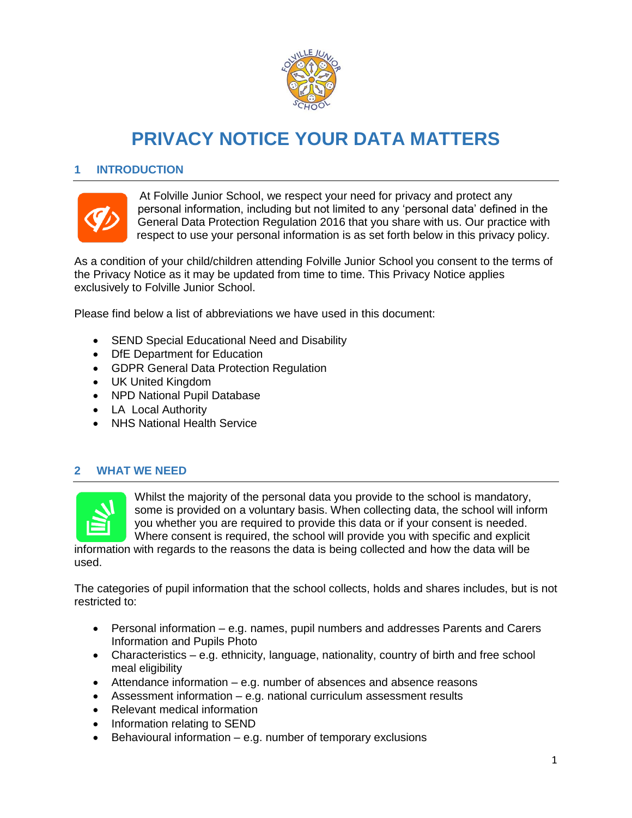

# **PRIVACY NOTICE YOUR DATA MATTERS**

## **1 INTRODUCTION**



At Folville Junior School, we respect your need for privacy and protect any personal information, including but not limited to any 'personal data' defined in the General Data Protection Regulation 2016 that you share with us. Our practice with respect to use your personal information is as set forth below in this privacy policy.

As a condition of your child/children attending Folville Junior School you consent to the terms of the Privacy Notice as it may be updated from time to time. This Privacy Notice applies exclusively to Folville Junior School.

Please find below a list of abbreviations we have used in this document:

- SEND Special Educational Need and Disability
- DfE Department for Education
- GDPR General Data Protection Regulation
- UK United Kingdom
- NPD National Pupil Database
- LA Local Authority
- NHS National Health Service

#### **2 WHAT WE NEED**



Whilst the majority of the personal data you provide to the school is mandatory, some is provided on a voluntary basis. When collecting data, the school will inform you whether you are required to provide this data or if your consent is needed. Where consent is required, the school will provide you with specific and explicit

information with regards to the reasons the data is being collected and how the data will be used.

The categories of pupil information that the school collects, holds and shares includes, but is not restricted to:

- Personal information e.g. names, pupil numbers and addresses Parents and Carers Information and Pupils Photo
- Characteristics e.g. ethnicity, language, nationality, country of birth and free school meal eligibility
- Attendance information e.g. number of absences and absence reasons
- Assessment information e.g. national curriculum assessment results
- Relevant medical information
- Information relating to SEND
- $\bullet$  Behavioural information e.g. number of temporary exclusions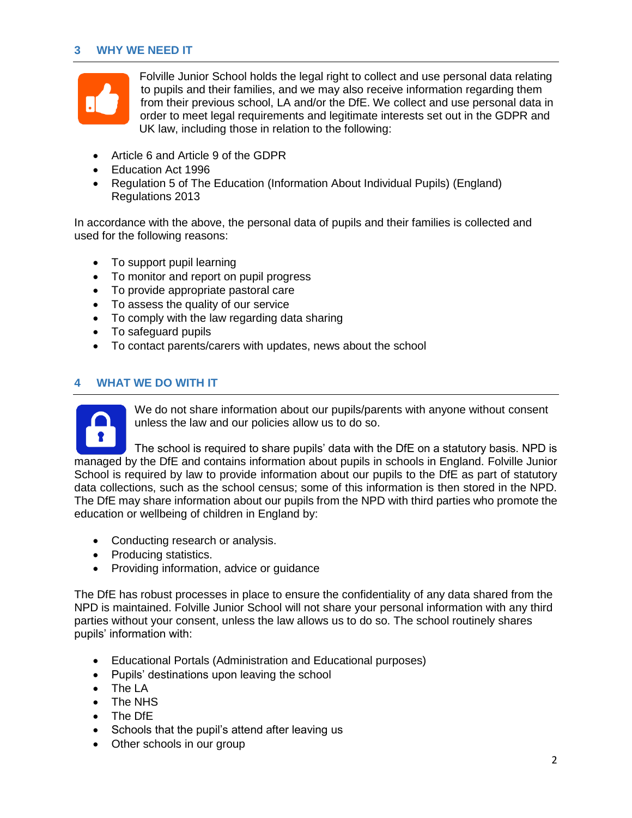# **3 WHY WE NEED IT**



Folville Junior School holds the legal right to collect and use personal data relating to pupils and their families, and we may also receive information regarding them from their previous school, LA and/or the DfE. We collect and use personal data in order to meet legal requirements and legitimate interests set out in the GDPR and UK law, including those in relation to the following:

- Article 6 and Article 9 of the GDPR
- Education Act 1996
- Regulation 5 of The Education (Information About Individual Pupils) (England) Regulations 2013

In accordance with the above, the personal data of pupils and their families is collected and used for the following reasons:

- To support pupil learning
- To monitor and report on pupil progress
- To provide appropriate pastoral care
- To assess the quality of our service
- To comply with the law regarding data sharing
- To safeguard pupils
- To contact parents/carers with updates, news about the school

# **4 WHAT WE DO WITH IT**



We do not share information about our pupils/parents with anyone without consent unless the law and our policies allow us to do so.

The school is required to share pupils' data with the DfE on a statutory basis. NPD is managed by the DfE and contains information about pupils in schools in England. Folville Junior School is required by law to provide information about our pupils to the DfE as part of statutory data collections, such as the school census; some of this information is then stored in the NPD. The DfE may share information about our pupils from the NPD with third parties who promote the education or wellbeing of children in England by:

- Conducting research or analysis.
- Producing statistics.
- Providing information, advice or guidance

The DfE has robust processes in place to ensure the confidentiality of any data shared from the NPD is maintained. Folville Junior School will not share your personal information with any third parties without your consent, unless the law allows us to do so. The school routinely shares pupils' information with:

- Educational Portals (Administration and Educational purposes)
- Pupils' destinations upon leaving the school
- The LA
- The NHS
- The DfE
- Schools that the pupil's attend after leaving us
- Other schools in our group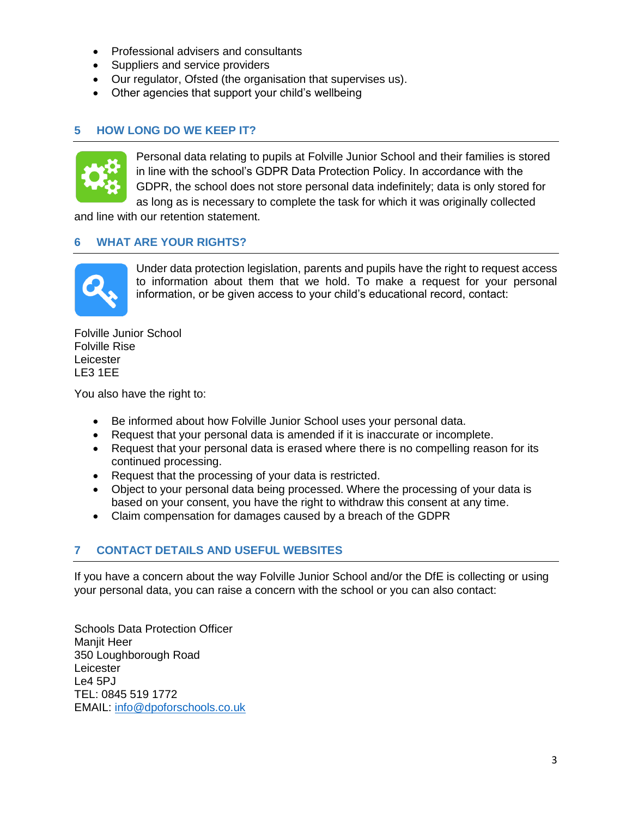- Professional advisers and consultants
- Suppliers and service providers
- Our regulator, Ofsted (the organisation that supervises us).
- Other agencies that support your child's wellbeing

# **5 HOW LONG DO WE KEEP IT?**



Personal data relating to pupils at Folville Junior School and their families is stored in line with the school's GDPR Data Protection Policy. In accordance with the GDPR, the school does not store personal data indefinitely; data is only stored for as long as is necessary to complete the task for which it was originally collected

and line with our retention statement.

#### **6 WHAT ARE YOUR RIGHTS?**



Under data protection legislation, parents and pupils have the right to request access to information about them that we hold. To make a request for your personal information, or be given access to your child's educational record, contact:

Folville Junior School Folville Rise Leicester LE3 1EE

You also have the right to:

- Be informed about how Folville Junior School uses your personal data.
- Request that your personal data is amended if it is inaccurate or incomplete.
- Request that your personal data is erased where there is no compelling reason for its continued processing.
- Request that the processing of your data is restricted.
- Object to your personal data being processed. Where the processing of your data is based on your consent, you have the right to withdraw this consent at any time.
- Claim compensation for damages caused by a breach of the GDPR

## **7 CONTACT DETAILS AND USEFUL WEBSITES**

If you have a concern about the way Folville Junior School and/or the DfE is collecting or using your personal data, you can raise a concern with the school or you can also contact:

Schools Data Protection Officer Manjit Heer 350 Loughborough Road Leicester Le4 5PJ TEL: 0845 519 1772 EMAIL: [info@dpoforschools.co.uk](mailto:info@dpoforschools.co.uk)